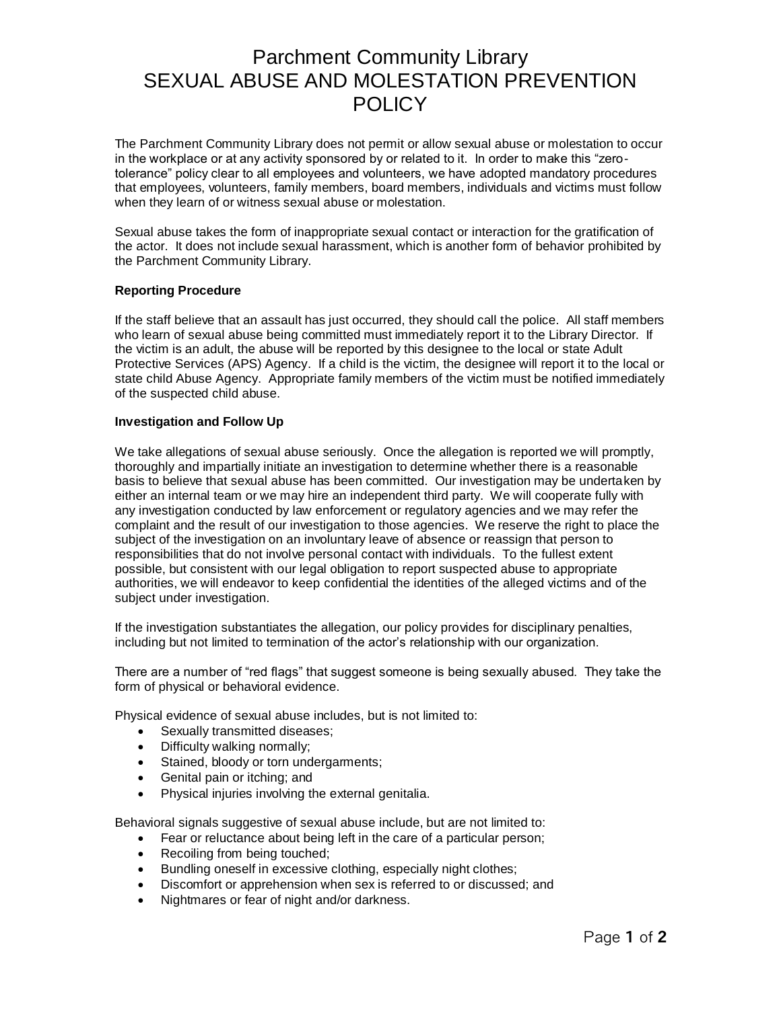# Parchment Community Library SEXUAL ABUSE AND MOLESTATION PREVENTION **POLICY**

The Parchment Community Library does not permit or allow sexual abuse or molestation to occur in the workplace or at any activity sponsored by or related to it. In order to make this "zerotolerance" policy clear to all employees and volunteers, we have adopted mandatory procedures that employees, volunteers, family members, board members, individuals and victims must follow when they learn of or witness sexual abuse or molestation.

Sexual abuse takes the form of inappropriate sexual contact or interaction for the gratification of the actor. It does not include sexual harassment, which is another form of behavior prohibited by the Parchment Community Library.

#### **Reporting Procedure**

If the staff believe that an assault has just occurred, they should call the police. All staff members who learn of sexual abuse being committed must immediately report it to the Library Director. If the victim is an adult, the abuse will be reported by this designee to the local or state Adult Protective Services (APS) Agency. If a child is the victim, the designee will report it to the local or state child Abuse Agency. Appropriate family members of the victim must be notified immediately of the suspected child abuse.

## **Investigation and Follow Up**

We take allegations of sexual abuse seriously. Once the allegation is reported we will promptly, thoroughly and impartially initiate an investigation to determine whether there is a reasonable basis to believe that sexual abuse has been committed. Our investigation may be undertaken by either an internal team or we may hire an independent third party. We will cooperate fully with any investigation conducted by law enforcement or regulatory agencies and we may refer the complaint and the result of our investigation to those agencies. We reserve the right to place the subject of the investigation on an involuntary leave of absence or reassign that person to responsibilities that do not involve personal contact with individuals. To the fullest extent possible, but consistent with our legal obligation to report suspected abuse to appropriate authorities, we will endeavor to keep confidential the identities of the alleged victims and of the subject under investigation.

If the investigation substantiates the allegation, our policy provides for disciplinary penalties, including but not limited to termination of the actor's relationship with our organization.

There are a number of "red flags" that suggest someone is being sexually abused. They take the form of physical or behavioral evidence.

Physical evidence of sexual abuse includes, but is not limited to:

- Sexually transmitted diseases;
- Difficulty walking normally;
- Stained, bloody or torn undergarments;
- Genital pain or itching; and
- Physical injuries involving the external genitalia.

Behavioral signals suggestive of sexual abuse include, but are not limited to:

- Fear or reluctance about being left in the care of a particular person;
- Recoiling from being touched;
- Bundling oneself in excessive clothing, especially night clothes;
- Discomfort or apprehension when sex is referred to or discussed; and
- Nightmares or fear of night and/or darkness.